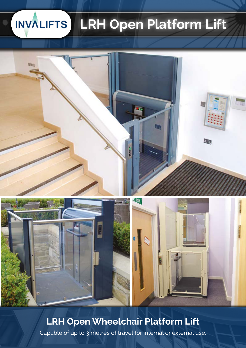#### **INVALIFTS LRH Open Platform Lift**





## **LRH Open Wheelchair Platform Lift**

Capable of up to 3 metres of travel for internal or external use.